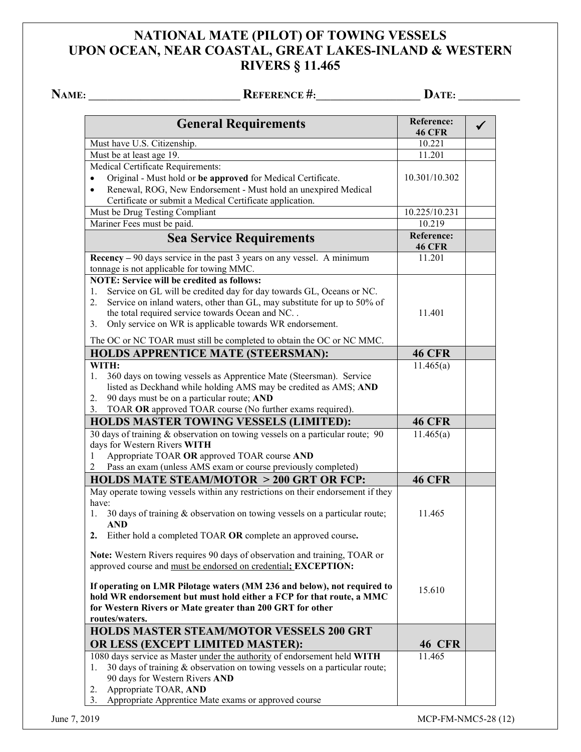## **NATIONAL MATE (PILOT) OF TOWING VESSELS UPON OCEAN, NEAR COASTAL, GREAT LAKES-INLAND & WESTERN RIVERS § 11.465**

**NAME: \_\_\_\_\_\_\_\_\_\_\_\_\_\_\_\_\_\_\_\_\_\_\_\_\_\_\_\_\_\_\_\_ REFERENCE #:\_\_\_\_\_\_\_\_\_\_\_\_\_\_\_\_\_\_\_\_\_\_ DATE: \_\_\_\_\_\_\_\_\_\_\_\_\_**

| Must have U.S. Citizenship.<br>10.221<br>Must be at least age 19.<br>11.201<br>Medical Certificate Requirements:<br>10.301/10.302<br>Original - Must hold or be approved for Medical Certificate.<br>$\bullet$<br>Renewal, ROG, New Endorsement - Must hold an unexpired Medical<br>$\bullet$<br>Certificate or submit a Medical Certificate application.<br>Must be Drug Testing Compliant<br>10.225/10.231<br>Mariner Fees must be paid.<br>10.219<br><b>Reference:</b><br><b>Sea Service Requirements</b><br><b>46 CFR</b><br>$\textbf{Recency} - 90 \text{ days}$ service in the past 3 years on any vessel. A minimum<br>11.201<br>tonnage is not applicable for towing MMC.<br><b>NOTE: Service will be credited as follows:</b><br>Service on GL will be credited day for day towards GL, Oceans or NC.<br>1.<br>Service on inland waters, other than GL, may substitute for up to 50% of<br>2.<br>the total required service towards Ocean and NC<br>11.401<br>Only service on WR is applicable towards WR endorsement.<br>3.<br>The OC or NC TOAR must still be completed to obtain the OC or NC MMC.<br><b>HOLDS APPRENTICE MATE (STEERSMAN):</b><br><b>46 CFR</b><br>11.465(a)<br>WITH:<br>360 days on towing vessels as Apprentice Mate (Steersman). Service<br>1.<br>listed as Deckhand while holding AMS may be credited as AMS; AND<br>90 days must be on a particular route; AND<br>2.<br>TOAR OR approved TOAR course (No further exams required).<br>3.<br><b>46 CFR</b><br><b>HOLDS MASTER TOWING VESSELS (LIMITED):</b><br>30 days of training & observation on towing vessels on a particular route; 90<br>11.465(a)<br>days for Western Rivers WITH<br>Appropriate TOAR OR approved TOAR course AND<br>1<br>Pass an exam (unless AMS exam or course previously completed)<br>2<br><b>HOLDS MATE STEAM/MOTOR &gt; 200 GRT OR FCP:</b><br><b>46 CFR</b><br>May operate towing vessels within any restrictions on their endorsement if they<br>have:<br>30 days of training & observation on towing vessels on a particular route;<br>11.465<br>1.<br><b>AND</b><br>Either hold a completed TOAR OR complete an approved course.<br>2.<br>Note: Western Rivers requires 90 days of observation and training, TOAR or<br>approved course and must be endorsed on credential; EXCEPTION:<br>If operating on LMR Pilotage waters (MM 236 and below), not required to<br>15.610<br>hold WR endorsement but must hold either a FCP for that route, a MMC<br>for Western Rivers or Mate greater than 200 GRT for other<br>routes/waters.<br><b>HOLDS MASTER STEAM/MOTOR VESSELS 200 GRT</b><br><b>46 CFR</b><br>OR LESS (EXCEPT LIMITED MASTER):<br>1080 days service as Master under the authority of endorsement held WITH<br>11.465<br>30 days of training & observation on towing vessels on a particular route;<br>1. | <b>General Requirements</b> | Reference:<br><b>46 CFR</b> |  |
|-----------------------------------------------------------------------------------------------------------------------------------------------------------------------------------------------------------------------------------------------------------------------------------------------------------------------------------------------------------------------------------------------------------------------------------------------------------------------------------------------------------------------------------------------------------------------------------------------------------------------------------------------------------------------------------------------------------------------------------------------------------------------------------------------------------------------------------------------------------------------------------------------------------------------------------------------------------------------------------------------------------------------------------------------------------------------------------------------------------------------------------------------------------------------------------------------------------------------------------------------------------------------------------------------------------------------------------------------------------------------------------------------------------------------------------------------------------------------------------------------------------------------------------------------------------------------------------------------------------------------------------------------------------------------------------------------------------------------------------------------------------------------------------------------------------------------------------------------------------------------------------------------------------------------------------------------------------------------------------------------------------------------------------------------------------------------------------------------------------------------------------------------------------------------------------------------------------------------------------------------------------------------------------------------------------------------------------------------------------------------------------------------------------------------------------------------------------------------------------------------------------------------------------------------------------------------------------------------------------------------------------------------------------------------------------------------------------------------------------------------------------------------------------------------------------------------------------------|-----------------------------|-----------------------------|--|
|                                                                                                                                                                                                                                                                                                                                                                                                                                                                                                                                                                                                                                                                                                                                                                                                                                                                                                                                                                                                                                                                                                                                                                                                                                                                                                                                                                                                                                                                                                                                                                                                                                                                                                                                                                                                                                                                                                                                                                                                                                                                                                                                                                                                                                                                                                                                                                                                                                                                                                                                                                                                                                                                                                                                                                                                                                         |                             |                             |  |
|                                                                                                                                                                                                                                                                                                                                                                                                                                                                                                                                                                                                                                                                                                                                                                                                                                                                                                                                                                                                                                                                                                                                                                                                                                                                                                                                                                                                                                                                                                                                                                                                                                                                                                                                                                                                                                                                                                                                                                                                                                                                                                                                                                                                                                                                                                                                                                                                                                                                                                                                                                                                                                                                                                                                                                                                                                         |                             |                             |  |
|                                                                                                                                                                                                                                                                                                                                                                                                                                                                                                                                                                                                                                                                                                                                                                                                                                                                                                                                                                                                                                                                                                                                                                                                                                                                                                                                                                                                                                                                                                                                                                                                                                                                                                                                                                                                                                                                                                                                                                                                                                                                                                                                                                                                                                                                                                                                                                                                                                                                                                                                                                                                                                                                                                                                                                                                                                         |                             |                             |  |
|                                                                                                                                                                                                                                                                                                                                                                                                                                                                                                                                                                                                                                                                                                                                                                                                                                                                                                                                                                                                                                                                                                                                                                                                                                                                                                                                                                                                                                                                                                                                                                                                                                                                                                                                                                                                                                                                                                                                                                                                                                                                                                                                                                                                                                                                                                                                                                                                                                                                                                                                                                                                                                                                                                                                                                                                                                         |                             |                             |  |
|                                                                                                                                                                                                                                                                                                                                                                                                                                                                                                                                                                                                                                                                                                                                                                                                                                                                                                                                                                                                                                                                                                                                                                                                                                                                                                                                                                                                                                                                                                                                                                                                                                                                                                                                                                                                                                                                                                                                                                                                                                                                                                                                                                                                                                                                                                                                                                                                                                                                                                                                                                                                                                                                                                                                                                                                                                         |                             |                             |  |
|                                                                                                                                                                                                                                                                                                                                                                                                                                                                                                                                                                                                                                                                                                                                                                                                                                                                                                                                                                                                                                                                                                                                                                                                                                                                                                                                                                                                                                                                                                                                                                                                                                                                                                                                                                                                                                                                                                                                                                                                                                                                                                                                                                                                                                                                                                                                                                                                                                                                                                                                                                                                                                                                                                                                                                                                                                         |                             |                             |  |
|                                                                                                                                                                                                                                                                                                                                                                                                                                                                                                                                                                                                                                                                                                                                                                                                                                                                                                                                                                                                                                                                                                                                                                                                                                                                                                                                                                                                                                                                                                                                                                                                                                                                                                                                                                                                                                                                                                                                                                                                                                                                                                                                                                                                                                                                                                                                                                                                                                                                                                                                                                                                                                                                                                                                                                                                                                         |                             |                             |  |
|                                                                                                                                                                                                                                                                                                                                                                                                                                                                                                                                                                                                                                                                                                                                                                                                                                                                                                                                                                                                                                                                                                                                                                                                                                                                                                                                                                                                                                                                                                                                                                                                                                                                                                                                                                                                                                                                                                                                                                                                                                                                                                                                                                                                                                                                                                                                                                                                                                                                                                                                                                                                                                                                                                                                                                                                                                         |                             |                             |  |
|                                                                                                                                                                                                                                                                                                                                                                                                                                                                                                                                                                                                                                                                                                                                                                                                                                                                                                                                                                                                                                                                                                                                                                                                                                                                                                                                                                                                                                                                                                                                                                                                                                                                                                                                                                                                                                                                                                                                                                                                                                                                                                                                                                                                                                                                                                                                                                                                                                                                                                                                                                                                                                                                                                                                                                                                                                         |                             |                             |  |
|                                                                                                                                                                                                                                                                                                                                                                                                                                                                                                                                                                                                                                                                                                                                                                                                                                                                                                                                                                                                                                                                                                                                                                                                                                                                                                                                                                                                                                                                                                                                                                                                                                                                                                                                                                                                                                                                                                                                                                                                                                                                                                                                                                                                                                                                                                                                                                                                                                                                                                                                                                                                                                                                                                                                                                                                                                         |                             |                             |  |
|                                                                                                                                                                                                                                                                                                                                                                                                                                                                                                                                                                                                                                                                                                                                                                                                                                                                                                                                                                                                                                                                                                                                                                                                                                                                                                                                                                                                                                                                                                                                                                                                                                                                                                                                                                                                                                                                                                                                                                                                                                                                                                                                                                                                                                                                                                                                                                                                                                                                                                                                                                                                                                                                                                                                                                                                                                         |                             |                             |  |
|                                                                                                                                                                                                                                                                                                                                                                                                                                                                                                                                                                                                                                                                                                                                                                                                                                                                                                                                                                                                                                                                                                                                                                                                                                                                                                                                                                                                                                                                                                                                                                                                                                                                                                                                                                                                                                                                                                                                                                                                                                                                                                                                                                                                                                                                                                                                                                                                                                                                                                                                                                                                                                                                                                                                                                                                                                         |                             |                             |  |
|                                                                                                                                                                                                                                                                                                                                                                                                                                                                                                                                                                                                                                                                                                                                                                                                                                                                                                                                                                                                                                                                                                                                                                                                                                                                                                                                                                                                                                                                                                                                                                                                                                                                                                                                                                                                                                                                                                                                                                                                                                                                                                                                                                                                                                                                                                                                                                                                                                                                                                                                                                                                                                                                                                                                                                                                                                         |                             |                             |  |
|                                                                                                                                                                                                                                                                                                                                                                                                                                                                                                                                                                                                                                                                                                                                                                                                                                                                                                                                                                                                                                                                                                                                                                                                                                                                                                                                                                                                                                                                                                                                                                                                                                                                                                                                                                                                                                                                                                                                                                                                                                                                                                                                                                                                                                                                                                                                                                                                                                                                                                                                                                                                                                                                                                                                                                                                                                         |                             |                             |  |
|                                                                                                                                                                                                                                                                                                                                                                                                                                                                                                                                                                                                                                                                                                                                                                                                                                                                                                                                                                                                                                                                                                                                                                                                                                                                                                                                                                                                                                                                                                                                                                                                                                                                                                                                                                                                                                                                                                                                                                                                                                                                                                                                                                                                                                                                                                                                                                                                                                                                                                                                                                                                                                                                                                                                                                                                                                         |                             |                             |  |
|                                                                                                                                                                                                                                                                                                                                                                                                                                                                                                                                                                                                                                                                                                                                                                                                                                                                                                                                                                                                                                                                                                                                                                                                                                                                                                                                                                                                                                                                                                                                                                                                                                                                                                                                                                                                                                                                                                                                                                                                                                                                                                                                                                                                                                                                                                                                                                                                                                                                                                                                                                                                                                                                                                                                                                                                                                         |                             |                             |  |
|                                                                                                                                                                                                                                                                                                                                                                                                                                                                                                                                                                                                                                                                                                                                                                                                                                                                                                                                                                                                                                                                                                                                                                                                                                                                                                                                                                                                                                                                                                                                                                                                                                                                                                                                                                                                                                                                                                                                                                                                                                                                                                                                                                                                                                                                                                                                                                                                                                                                                                                                                                                                                                                                                                                                                                                                                                         |                             |                             |  |
|                                                                                                                                                                                                                                                                                                                                                                                                                                                                                                                                                                                                                                                                                                                                                                                                                                                                                                                                                                                                                                                                                                                                                                                                                                                                                                                                                                                                                                                                                                                                                                                                                                                                                                                                                                                                                                                                                                                                                                                                                                                                                                                                                                                                                                                                                                                                                                                                                                                                                                                                                                                                                                                                                                                                                                                                                                         |                             |                             |  |
|                                                                                                                                                                                                                                                                                                                                                                                                                                                                                                                                                                                                                                                                                                                                                                                                                                                                                                                                                                                                                                                                                                                                                                                                                                                                                                                                                                                                                                                                                                                                                                                                                                                                                                                                                                                                                                                                                                                                                                                                                                                                                                                                                                                                                                                                                                                                                                                                                                                                                                                                                                                                                                                                                                                                                                                                                                         |                             |                             |  |
|                                                                                                                                                                                                                                                                                                                                                                                                                                                                                                                                                                                                                                                                                                                                                                                                                                                                                                                                                                                                                                                                                                                                                                                                                                                                                                                                                                                                                                                                                                                                                                                                                                                                                                                                                                                                                                                                                                                                                                                                                                                                                                                                                                                                                                                                                                                                                                                                                                                                                                                                                                                                                                                                                                                                                                                                                                         |                             |                             |  |
|                                                                                                                                                                                                                                                                                                                                                                                                                                                                                                                                                                                                                                                                                                                                                                                                                                                                                                                                                                                                                                                                                                                                                                                                                                                                                                                                                                                                                                                                                                                                                                                                                                                                                                                                                                                                                                                                                                                                                                                                                                                                                                                                                                                                                                                                                                                                                                                                                                                                                                                                                                                                                                                                                                                                                                                                                                         |                             |                             |  |
|                                                                                                                                                                                                                                                                                                                                                                                                                                                                                                                                                                                                                                                                                                                                                                                                                                                                                                                                                                                                                                                                                                                                                                                                                                                                                                                                                                                                                                                                                                                                                                                                                                                                                                                                                                                                                                                                                                                                                                                                                                                                                                                                                                                                                                                                                                                                                                                                                                                                                                                                                                                                                                                                                                                                                                                                                                         |                             |                             |  |
|                                                                                                                                                                                                                                                                                                                                                                                                                                                                                                                                                                                                                                                                                                                                                                                                                                                                                                                                                                                                                                                                                                                                                                                                                                                                                                                                                                                                                                                                                                                                                                                                                                                                                                                                                                                                                                                                                                                                                                                                                                                                                                                                                                                                                                                                                                                                                                                                                                                                                                                                                                                                                                                                                                                                                                                                                                         |                             |                             |  |
|                                                                                                                                                                                                                                                                                                                                                                                                                                                                                                                                                                                                                                                                                                                                                                                                                                                                                                                                                                                                                                                                                                                                                                                                                                                                                                                                                                                                                                                                                                                                                                                                                                                                                                                                                                                                                                                                                                                                                                                                                                                                                                                                                                                                                                                                                                                                                                                                                                                                                                                                                                                                                                                                                                                                                                                                                                         |                             |                             |  |
|                                                                                                                                                                                                                                                                                                                                                                                                                                                                                                                                                                                                                                                                                                                                                                                                                                                                                                                                                                                                                                                                                                                                                                                                                                                                                                                                                                                                                                                                                                                                                                                                                                                                                                                                                                                                                                                                                                                                                                                                                                                                                                                                                                                                                                                                                                                                                                                                                                                                                                                                                                                                                                                                                                                                                                                                                                         |                             |                             |  |
|                                                                                                                                                                                                                                                                                                                                                                                                                                                                                                                                                                                                                                                                                                                                                                                                                                                                                                                                                                                                                                                                                                                                                                                                                                                                                                                                                                                                                                                                                                                                                                                                                                                                                                                                                                                                                                                                                                                                                                                                                                                                                                                                                                                                                                                                                                                                                                                                                                                                                                                                                                                                                                                                                                                                                                                                                                         |                             |                             |  |
|                                                                                                                                                                                                                                                                                                                                                                                                                                                                                                                                                                                                                                                                                                                                                                                                                                                                                                                                                                                                                                                                                                                                                                                                                                                                                                                                                                                                                                                                                                                                                                                                                                                                                                                                                                                                                                                                                                                                                                                                                                                                                                                                                                                                                                                                                                                                                                                                                                                                                                                                                                                                                                                                                                                                                                                                                                         |                             |                             |  |
|                                                                                                                                                                                                                                                                                                                                                                                                                                                                                                                                                                                                                                                                                                                                                                                                                                                                                                                                                                                                                                                                                                                                                                                                                                                                                                                                                                                                                                                                                                                                                                                                                                                                                                                                                                                                                                                                                                                                                                                                                                                                                                                                                                                                                                                                                                                                                                                                                                                                                                                                                                                                                                                                                                                                                                                                                                         |                             |                             |  |
|                                                                                                                                                                                                                                                                                                                                                                                                                                                                                                                                                                                                                                                                                                                                                                                                                                                                                                                                                                                                                                                                                                                                                                                                                                                                                                                                                                                                                                                                                                                                                                                                                                                                                                                                                                                                                                                                                                                                                                                                                                                                                                                                                                                                                                                                                                                                                                                                                                                                                                                                                                                                                                                                                                                                                                                                                                         |                             |                             |  |
|                                                                                                                                                                                                                                                                                                                                                                                                                                                                                                                                                                                                                                                                                                                                                                                                                                                                                                                                                                                                                                                                                                                                                                                                                                                                                                                                                                                                                                                                                                                                                                                                                                                                                                                                                                                                                                                                                                                                                                                                                                                                                                                                                                                                                                                                                                                                                                                                                                                                                                                                                                                                                                                                                                                                                                                                                                         |                             |                             |  |
|                                                                                                                                                                                                                                                                                                                                                                                                                                                                                                                                                                                                                                                                                                                                                                                                                                                                                                                                                                                                                                                                                                                                                                                                                                                                                                                                                                                                                                                                                                                                                                                                                                                                                                                                                                                                                                                                                                                                                                                                                                                                                                                                                                                                                                                                                                                                                                                                                                                                                                                                                                                                                                                                                                                                                                                                                                         |                             |                             |  |
|                                                                                                                                                                                                                                                                                                                                                                                                                                                                                                                                                                                                                                                                                                                                                                                                                                                                                                                                                                                                                                                                                                                                                                                                                                                                                                                                                                                                                                                                                                                                                                                                                                                                                                                                                                                                                                                                                                                                                                                                                                                                                                                                                                                                                                                                                                                                                                                                                                                                                                                                                                                                                                                                                                                                                                                                                                         |                             |                             |  |
|                                                                                                                                                                                                                                                                                                                                                                                                                                                                                                                                                                                                                                                                                                                                                                                                                                                                                                                                                                                                                                                                                                                                                                                                                                                                                                                                                                                                                                                                                                                                                                                                                                                                                                                                                                                                                                                                                                                                                                                                                                                                                                                                                                                                                                                                                                                                                                                                                                                                                                                                                                                                                                                                                                                                                                                                                                         |                             |                             |  |
|                                                                                                                                                                                                                                                                                                                                                                                                                                                                                                                                                                                                                                                                                                                                                                                                                                                                                                                                                                                                                                                                                                                                                                                                                                                                                                                                                                                                                                                                                                                                                                                                                                                                                                                                                                                                                                                                                                                                                                                                                                                                                                                                                                                                                                                                                                                                                                                                                                                                                                                                                                                                                                                                                                                                                                                                                                         |                             |                             |  |
|                                                                                                                                                                                                                                                                                                                                                                                                                                                                                                                                                                                                                                                                                                                                                                                                                                                                                                                                                                                                                                                                                                                                                                                                                                                                                                                                                                                                                                                                                                                                                                                                                                                                                                                                                                                                                                                                                                                                                                                                                                                                                                                                                                                                                                                                                                                                                                                                                                                                                                                                                                                                                                                                                                                                                                                                                                         |                             |                             |  |
| 90 days for Western Rivers AND                                                                                                                                                                                                                                                                                                                                                                                                                                                                                                                                                                                                                                                                                                                                                                                                                                                                                                                                                                                                                                                                                                                                                                                                                                                                                                                                                                                                                                                                                                                                                                                                                                                                                                                                                                                                                                                                                                                                                                                                                                                                                                                                                                                                                                                                                                                                                                                                                                                                                                                                                                                                                                                                                                                                                                                                          |                             |                             |  |
| Appropriate TOAR, AND<br>2.                                                                                                                                                                                                                                                                                                                                                                                                                                                                                                                                                                                                                                                                                                                                                                                                                                                                                                                                                                                                                                                                                                                                                                                                                                                                                                                                                                                                                                                                                                                                                                                                                                                                                                                                                                                                                                                                                                                                                                                                                                                                                                                                                                                                                                                                                                                                                                                                                                                                                                                                                                                                                                                                                                                                                                                                             |                             |                             |  |
| Appropriate Apprentice Mate exams or approved course<br>3.                                                                                                                                                                                                                                                                                                                                                                                                                                                                                                                                                                                                                                                                                                                                                                                                                                                                                                                                                                                                                                                                                                                                                                                                                                                                                                                                                                                                                                                                                                                                                                                                                                                                                                                                                                                                                                                                                                                                                                                                                                                                                                                                                                                                                                                                                                                                                                                                                                                                                                                                                                                                                                                                                                                                                                              |                             |                             |  |

June 7, 2019 MCP-FM-NMC5-28 (12)